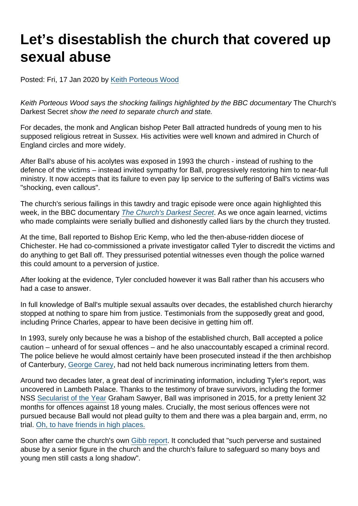# Let's disestablish the church that covered up sexual abuse

Posted: Fri, 17 Jan 2020 by [Keith Porteous Wood](https://www.secularism.org.uk/opinion/authors/852)

Keith Porteous Wood says the shocking failings highlighted by the BBC documentary The Church's Darkest Secret show the need to separate church and state.

For decades, the monk and Anglican bishop Peter Ball attracted hundreds of young men to his supposed religious retreat in Sussex. His activities were well known and admired in Church of England circles and more widely.

After Ball's abuse of his acolytes was exposed in 1993 the church - instead of rushing to the defence of the victims – instead invited sympathy for Ball, progressively restoring him to near-full ministry. It now accepts that its failure to even pay lip service to the suffering of Ball's victims was "shocking, even callous".

The church's serious failings in this tawdry and tragic episode were once again highlighted this week, in the BBC documentary [The Church's Darkest Secret.](https://www.bbc.co.uk/programmes/m000dbjj) As we once again learned, victims who made complaints were serially bullied and dishonestly called liars by the church they trusted.

At the time, Ball reported to Bishop Eric Kemp, who led the then-abuse-ridden diocese of Chichester. He had co-commissioned a private investigator called Tyler to discredit the victims and do anything to get Ball off. They pressurised potential witnesses even though the police warned this could amount to a perversion of justice.

After looking at the evidence, Tyler concluded however it was Ball rather than his accusers who had a case to answer.

In full knowledge of Ball's multiple sexual assaults over decades, the established church hierarchy stopped at nothing to spare him from justice. Testimonials from the supposedly great and good, including Prince Charles, appear to have been decisive in getting him off.

In 1993, surely only because he was a bishop of the established church, Ball accepted a police caution – unheard of for sexual offences – and he also unaccountably escaped a criminal record. The police believe he would almost certainly have been prosecuted instead if the then archbishop of Canterbury, [George Carey,](https://www.secularism.org.uk/news/2017/06/lord-carey-faces-calls-to-resign-from-lords-and-face-criminal-investigation) had not held back numerous incriminating letters from them.

Around two decades later, a great deal of incriminating information, including Tyler's report, was uncovered in Lambeth Palace. Thanks to the testimony of brave survivors, including the former NSS [Secularist of the Year](https://www.secularism.org.uk/news/2018/03/nss-names-phil-johnson-and-graham-sawyer-as-secularists-of-the-year) Graham Sawyer, Ball was imprisoned in 2015, for a pretty lenient 32 months for offences against 18 young males. Crucially, the most serious offences were not pursued because Ball would not plead guilty to them and there was a plea bargain and, errm, no trial. [Oh, to have friends in high places.](https://www.secularism.org.uk/opinion/2018/08/religious-power-and-privilege-failed-the-victims-in-the-peter-ball-affair)

Soon after came the church's own [Gibb report](https://www.churchofengland.org/sites/default/files/2017-11/report-of-the-peter-ball-review-210617.pdf). It concluded that "such perverse and sustained abuse by a senior figure in the church and the church's failure to safeguard so many boys and young men still casts a long shadow".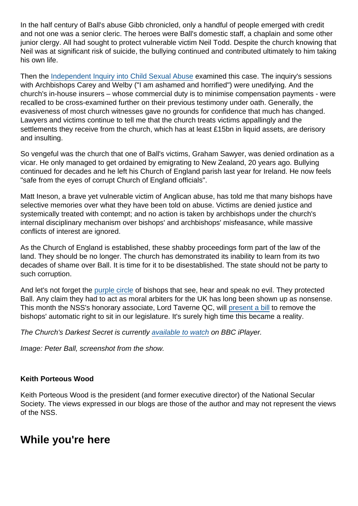In the half century of Ball's abuse Gibb chronicled, only a handful of people emerged with credit and not one was a senior cleric. The heroes were Ball's domestic staff, a chaplain and some other junior clergy. All had sought to protect vulnerable victim Neil Todd. Despite the church knowing that Neil was at significant risk of suicide, the bullying continued and contributed ultimately to him taking his own life.

Then the [Independent Inquiry into Child Sexual Abuse](https://www.iicsa.org.uk/document/anglican-church-case-studies-chichesterpeter-ball-investigation-report) examined this case. The inquiry's sessions with Archbishops Carey and Welby ("I am ashamed and horrified") were unedifying. And the church's in-house insurers – whose commercial duty is to minimise compensation payments - were recalled to be cross-examined further on their previous testimony under oath. Generally, the evasiveness of most church witnesses gave no grounds for confidence that much has changed. Lawyers and victims continue to tell me that the church treats victims appallingly and the settlements they receive from the church, which has at least £15bn in liquid assets, are derisory and insulting.

So vengeful was the church that one of Ball's victims, Graham Sawyer, was denied ordination as a vicar. He only managed to get ordained by emigrating to New Zealand, 20 years ago. Bullying continued for decades and he left his Church of England parish last year for Ireland. He now feels "safe from the eyes of corrupt Church of England officials".

Matt Ineson, a brave yet vulnerable victim of Anglican abuse, has told me that many bishops have selective memories over what they have been told on abuse. Victims are denied justice and systemically treated with contempt; and no action is taken by archbishops under the church's internal disciplinary mechanism over bishops' and archbishops' misfeasance, while massive conflicts of interest are ignored.

As the Church of England is established, these shabby proceedings form part of the law of the land. They should be no longer. The church has demonstrated its inability to learn from its two decades of shame over Ball. It is time for it to be disestablished. The state should not be party to such corruption.

And let's not forget the [purple circle](https://www.secularism.org.uk/opinion/2018/07/anglicanisms-purple-circle-of-bishops-cannot-be-trusted-over-child-abuse) of bishops that see, hear and speak no evil. They protected Ball. Any claim they had to act as moral arbiters for the UK has long been shown up as nonsense. This month the NSS's honorary associate, Lord Taverne QC, will [present a bill](https://www.secularism.org.uk/uploads/briefing-the-bishops-bench-bill.pdf) to remove the bishops' automatic right to sit in our legislature. It's surely high time this became a reality.

The Church's Darkest Secret is currently [available to watch](https://www.bbc.co.uk/iplayer/episodes/m000dbjj/exposed-the-churchs-darkest-secret) on BBC iPlayer.

Image: Peter Ball, screenshot from the show.

Keith Porteous Wood

Keith Porteous Wood is the president (and former executive director) of the National Secular Society. The views expressed in our blogs are those of the author and may not represent the views of the NSS.

### While you're here